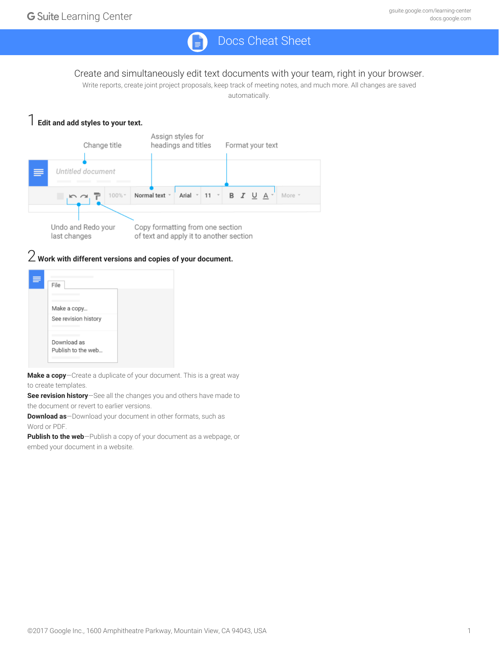# Docs Cheat Sheet

#### Create and simultaneously edit text documents with your team, right in your browser.

Write reports, create joint project proposals, keep track of meeting notes, and much more. All changes are saved automatically.

#### 1 **Edit and add styles to your text.**



# 2 **Work with different versions and copies of your document.**

| File                                |  |
|-------------------------------------|--|
| Make a copy<br>See revision history |  |
| Download as<br>Publish to the web   |  |

**Make a copy**—Create a duplicate of your document. This is a great way to create templates.

**See revision history**—See all the changes you and others have made to the document or revert to earlier versions.

**Download as**—Download your document in other formats, such as Word or PDF.

**Publish to the web**—Publish a copy of your document as a webpage, or embed your document in a website.